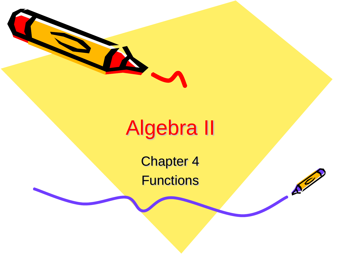

#### Algebra II

Chapter 4 **Functions** 

 $\mathcal{S}^{\prime\prime}$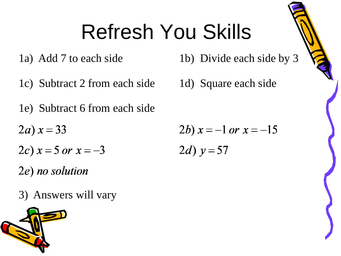## Refresh You Skills

- 
- 1c) Subtract 2 from each side 1d) Square each side
- 1e) Subtract 6 from each side
- $2a) x = 33$
- 2c)  $x = 5$  or  $x = -3$

2e) no solution

3) Answers will vary



1a) Add 7 to each side 1b) Divide each side by 3

$$
2b) x = -1 \text{ or } x = -15
$$

$$
2d) y=57
$$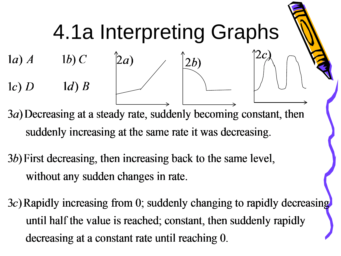

3a) Decreasing at a steady rate, suddenly becoming constant, then suddenly increasing at the same rate it was decreasing.

3b) First decreasing, then increasing back to the same level, without any sudden changes in rate.

3c) Rapidly increasing from 0; suddenly changing to rapidly decreasing until half the value is reached; constant, then suddenly rapidly decreasing at a constant rate until reaching 0.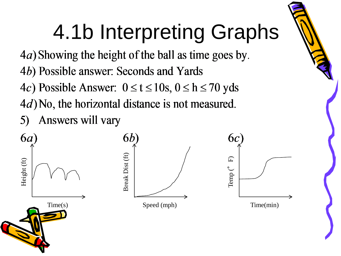# 4.1b Interpreting Graphs

4a) Showing the height of the ball as time goes by.

- 4b) Possible answer: Seconds and Yards
- 4c) Possible Answer:  $0 \le t \le 10$ s,  $0 \le h \le 70$  yds
- $4d$ ) No, the horizontal distance is not measured.
- Answers will vary

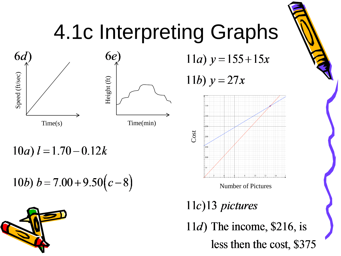

Speed (ft/sec)

Speed (ft/sec)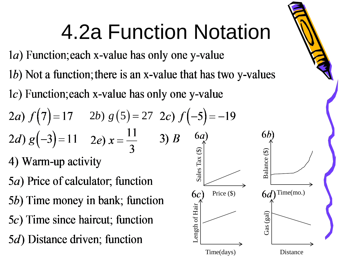## 4.2a Function Notation

1a) Function; each x-value has only one y-value

1b) Not a function; there is an x-value that has two y-values

1c) Function; each x-value has only one y-value

2*a*) 
$$
f(7)=17
$$
 2*b*)  $g(5)=27$  2*c*)  $f(-5)=-1$   
2*d*)  $g(-3)=11$  2*e*)  $x = \frac{11}{3}$  3) *B*  $\begin{bmatrix} 6a \\ 9 \\ 9 \\ 1 \end{bmatrix}$   
4) Warm-up activity

5*a*) Price of calculator; function 5b) Time money in bank; function 5c) Time since haircut; function 5*d*) Distance driven; function

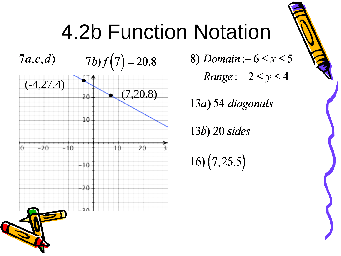### **4.2b Function Notation**

 $7a,c,d$  $7b) f(7) = 20.8$ 



8) Domain: $-6 \le x \le 5$  $Range: -2 \leq y \leq 4$ 

 $13a)$  54 diagonals

 $13b)$  20 sides

 $16)(7,25.5)$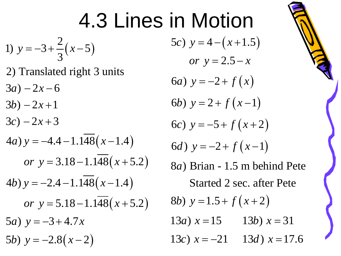# 4.3 Lines in Motion

1) 
$$
y = -3 + \frac{2}{3}(x-5)
$$

- 2) Translated right 3 units
- $3a) 2x 6$
- $3b) 2x + 1$
- $3c) 2x + 3$

4a) 
$$
y = -4.4 - 1.1\overline{48}(x - 1.4)
$$

\nor  $y = 3.18 - 1.1\overline{48}(x + 5.2)$ 

\n4b)  $y = -2.4 - 1.1\overline{48}(x - 1.4)$ 

\nor  $y = 5.18 - 1.1\overline{48}(x + 5.2)$ 

\n5a)  $y = -3 + 4.7x$ 

\n5b)  $y = -2.8(x - 2)$ 

5c)  $y = 4 - (x + 1.5)$ *or*  $y = 2.5 - x$ 6*a*)  $y = -2 + f(x)$ 6b)  $y = 2 + f(x-1)$ 6c)  $y = -5 + f(x+2)$ 6*d*)  $y = -2 + f(x-1)$ 8*a*) Brian - 1.5 m behind Pete Started 2 sec. after Pete 13*a*)  $x = 15$  13*b*)  $x = 31$ 8b)  $y = 1.5 + f(x+2)$ 13*c*)  $x = -21$  13*d*)  $x = 17.6$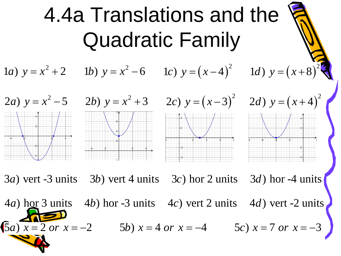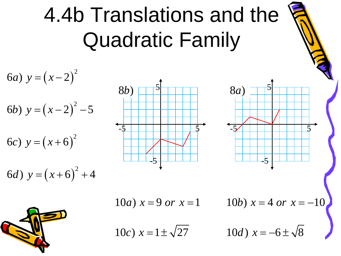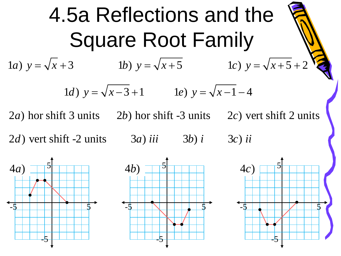4.5a Reflections and the Square Root Family 1*a*)  $y = \sqrt{x+3}$  1*b*)  $y = \sqrt{x+5}$  1*c*)  $y = \sqrt{x+5} + 2$ 1*d*)  $y = \sqrt{x-3} + 1$  1*e*)  $y = \sqrt{x-1} - 4$  $2a$ ) hor shift 3 units  $2b$ ) hor shift -3 units  $2c$ ) vert shift 2 units  $2d$ ) vert shift  $-2$  units  $3a$  *iii*  $3b$  *i*  $3c$  *ii*  $\blacklozenge$ 5 -5  $4a)$  $\blacklozenge$ 5 -5  $4c)$  $\blacklozenge$ 5 -5  $4b) \Box$ 

-5

-5

-5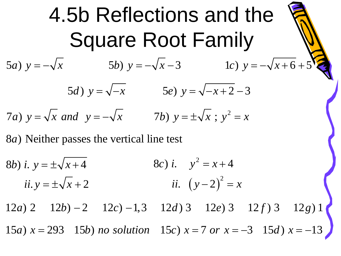4.5b Reflections and the Square Root Family 5*a*)  $y = -\sqrt{x}$  5*b*)  $y = -\sqrt{x-3}$  1*c*)  $y = -\sqrt{x+6} + 5$ 5*d*)  $y = \sqrt{-x}$  5*e*)  $y = \sqrt{-x+2} - 3$ 7*a*)  $y = \sqrt{x}$  and  $y = -\sqrt{x}$  7*b*)  $y = \pm \sqrt{x}$ ;  $y^2 = x$ 

8*a*) Neither passes the vertical line test

8*b*) *i*.  $y = \pm \sqrt{x+4}$  $ii. y = \pm \sqrt{x+2}$  *ii.*  $(y-2)$ 8c) *i*.  $y^2 = x + 4$ *ii.*  $(y-2)^2 = x$ 

 $12a$  2  $12b$   $-2$   $12c$   $-1,3$   $12d$  3  $12e$  3  $12f$  3  $12g$  1 15*a*)  $x = 293$  15*b*) *no solution* 15*c*)  $x = 7$  *or*  $x = -3$  15*d*)  $x = -13$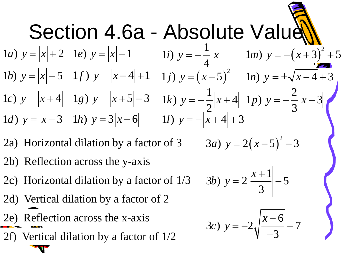

- 2a) Horizontal dilation by a factor of 3
- 2b) Reflection across the y-axis
- 2c) Horizontal dilation by a factor of 1/3
- 2d) Vertical dilation by a factor of 2
- 2e) Reflection across the x-axis
- 2f) Vertical dilation by a factor of 1/2

3*a*) 
$$
y = 2(x-5)^2 - 3
$$

$$
(3b) \ \ y = 2 \left| \frac{x+1}{3} \right| - 5
$$

$$
3c) \ y = -2\sqrt{\frac{x-6}{-3}} - 7
$$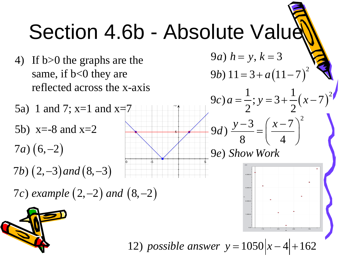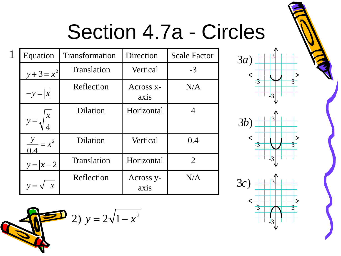#### Section 4.7a - Circles

| $\mathbf 1$ | Equation                   | Transformation  | Direction         | <b>Scale Factor</b> |
|-------------|----------------------------|-----------------|-------------------|---------------------|
|             | $y + 3 = x^2$              | Translation     | Vertical          | $-3$                |
|             | $-y= x $                   | Reflection      | Across x-<br>axis | N/A                 |
|             | $\boldsymbol{\mathcal{X}}$ | Dilation        | Horizontal        | 4                   |
|             | $\frac{y}{x} = x^2$        | <b>Dilation</b> | Vertical          | 0.4                 |
|             | $y =  x - 2 $              | Translation     | Horizontal        | 2                   |
|             |                            | Reflection      | Across y-<br>axis | N/A                 |

2)  $y = 2\sqrt{1-x^2}$ 





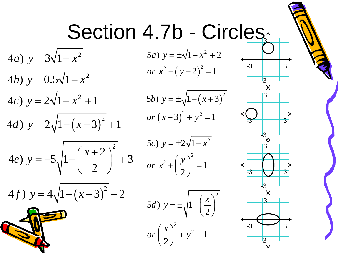### Section 4.7b - Circles

or  $x^2 + (y-2)^2 = 1$ 5*a*)  $y = \pm \sqrt{1 - x^2 + 2}$ 

 $(5b)$   $y = \pm \sqrt{1-(x+3)^2}$  $or (x+3)^2 + y^2 = 1$ 

$$
5c) \ y = \pm 2\sqrt{1 - x^2}
$$
  
or 
$$
x^2 + \left(\frac{y}{2}\right)^2 = 1
$$

5d) 
$$
y = \pm \sqrt{1 - \left(\frac{x}{2}\right)^2}
$$
  
or  $\left(\frac{x}{2}\right)^2 + y^2 = 1$ 



4*a*)  $y = 3\sqrt{1-x^2}$ 4*b*)  $y = 0.5\sqrt{1 - x^2}$  $4c)$   $y = 2\sqrt{1-x^2+1}$  $(4d)$   $y = 2\sqrt{1-(x-3)^2+1}$ 4e)  $y = -5\sqrt{1-\left(\frac{x+2}{2}\right)^2} + 3$ *e y*  $(x+2)$  $=-5\sqrt{1-(\frac{x+2}{2})}$  +  $(4f)$   $y = 4\sqrt{1-(x-3)^2} - 2$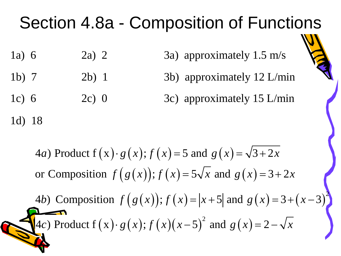#### Section 4.8a - Composition of Functions

- 1a) 6 2a) 2 3a) approximately 1.5 m/s
- 1b) 7 2b) 1 3b) approximately 12 L/min
- 1c) 6 2c) 0 3c) approximately 15 L/min

1d) 18

4*a*) Product 
$$
f(x) \cdot g(x)
$$
;  $f(x) = 5$  and  $g(x) = \sqrt{3+2x}$   
or Composition  $f(g(x))$ ;  $f(x) = 5\sqrt{x}$  and  $g(x) = 3+2x$   
4*b*) Composition  $f(g(x))$ ;  $f(x) = |x+5|$  and  $g(x) = 3+(x-3)^2$   
4*c*) Product  $f(x) \cdot g(x)$ ;  $f(x)(x-5)^2$  and  $g(x) = 2 - \sqrt{x}$